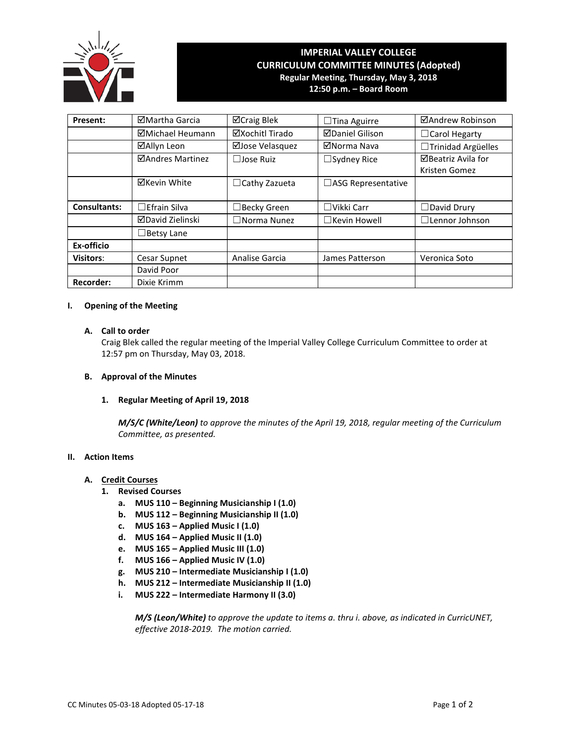

# **IMPERIAL VALLEY COLLEGE CURRICULUM COMMITTEE MINUTES (Adopted) Regular Meeting, Thursday, May 3, 2018 12:50 p.m. – Board Room**

**Present:** │ ⊠Martha Garcia │ ⊠Craig Blek │ □Tina Aguirre │ ⊠Andrew Robinson **ØMichael Heumann** │ ØXochitl Tirado │ ØDaniel Gilison │ □Carol Hegarty **ØAllyn Leon** | ØJose Velasquez | ØNorma Nava | □Trinidad Argüelles **ØAndres Martinez** │ □Jose Ruiz │ □Sydney Rice │ ØBeatriz Avila for Kristen Gomez **⊠Kevin White** │ □Cathy Zazueta │ □ASG Representative **Consultants:**  $\Box$ Efrain Silva │  $\Box$ Becky Green │  $\Box$ Vikki Carr │  $\Box$ David Drury David Zielinski ☐Norma Nunez ☐Kevin Howell ☐Lennor Johnson ☐Betsy Lane **Ex-officio Visitors**: Cesar Supnet Analise Garcia James Patterson Veronica Soto David Poor **Recorder:** Dixie Krimm

# **I. Opening of the Meeting**

# **A. Call to order**

Craig Blek called the regular meeting of the Imperial Valley College Curriculum Committee to order at 12:57 pm on Thursday, May 03, 2018.

### **B. Approval of the Minutes**

#### **1. Regular Meeting of April 19, 2018**

*M/S/C (White/Leon) to approve the minutes of the April 19, 2018, regular meeting of the Curriculum Committee, as presented.* 

#### **II. Action Items**

# **A. Credit Courses**

- **1. Revised Courses**
	- **a. MUS 110 – Beginning Musicianship I (1.0)**
	- **b. MUS 112 – Beginning Musicianship II (1.0)**
	- **c. MUS 163 – Applied Music I (1.0)**
	- **d. MUS 164 – Applied Music II (1.0)**
	- **e. MUS 165 – Applied Music III (1.0)**
	- **f. MUS 166 – Applied Music IV (1.0)**
	- **g. MUS 210 – Intermediate Musicianship I (1.0)**
	- **h. MUS 212 – Intermediate Musicianship II (1.0)**
	- **i. MUS 222 – Intermediate Harmony II (3.0)**

*M/S (Leon/White) to approve the update to items a. thru i. above, as indicated in CurricUNET, effective 2018-2019. The motion carried.*